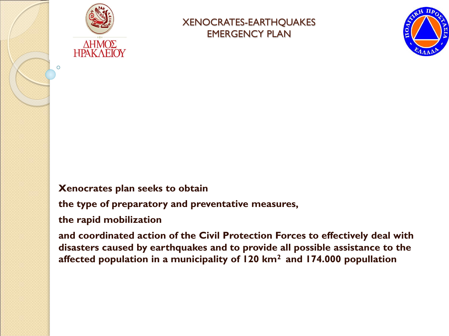

O

#### XENOCRATES-EARTHQUAKES EMERGENCY PLAN



#### **Xenocrates plan seeks to obtain**

**the type of preparatory and preventative measures,** 

**the rapid mobilization** 

**and coordinated action of the Civil Protection Forces to effectively deal with disasters caused by earthquakes and to provide all possible assistance to the affected population in a municipality of 120 km2 and 174.000 popullation**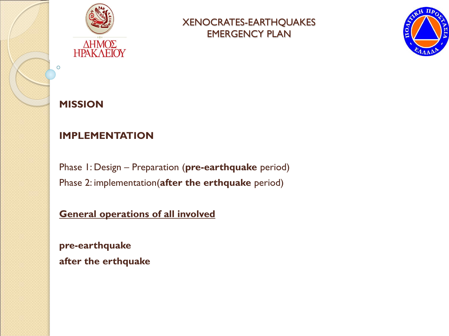



## **MISSION**

Ō

### **IMPLEMENTATION**

Phase 1: Design – Preparation (**pre-earthquake** period) Phase 2: implementation(**after the erthquake** period)

#### **General operations of all involved**

**pre-earthquake after the erthquake**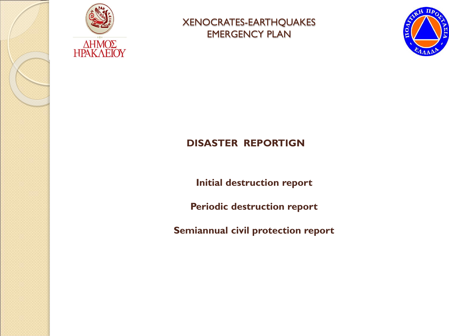





## **DISASTER REPORTIGN**

**Initial destruction report**

**Periodic destruction report**

**Semiannual civil protection report**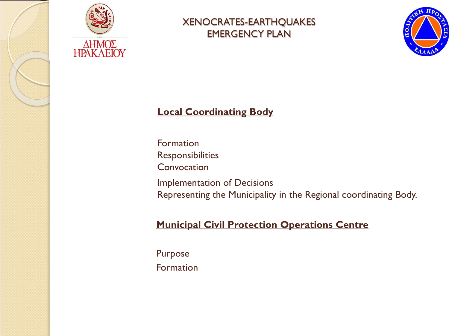

 $\frac{\Delta HMO\Sigma}{HPAKAEIOY}$ 

#### XENOCRATES-EARTHQUAKES EMERGENCY PLAN



#### **Local Coordinating Body**

Formation **Responsibilities Convocation** Implementation of Decisions Representing the Municipality in the Regional coordinating Body.

#### **Municipal Civil Protection Operations Centre**

Purpose Formation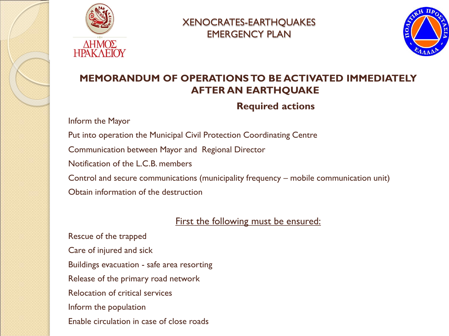



### **MEMORANDUM OF OPERATIONS TO BE ACTIVATED IMMEDIATELY AFTER AN EARTHQUAKE**

#### **Required actions**

Inform the Mayor

Put into operation the Municipal Civil Protection Coordinating Centre Communication between Mayor and Regional Director Notification of the L.C.B. members Control and secure communications (municipality frequency – mobile communication unit) Obtain information of the destruction

#### First the following must be ensured:

Rescue of the trapped Care of injured and sick Buildings evacuation - safe area resorting Release of the primary road network Relocation of critical services Inform the population Enable circulation in case of close roads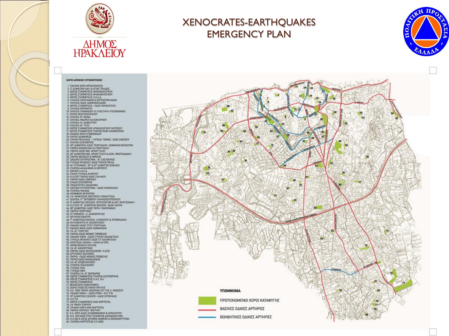





#### XOPOI APXIKHE EVITEMITPOEHE

1 FAIAIRH YAPA MEDAGEAKER 2. 3<sup>6</sup> AHMOTIKO KALLN AFIAE TPIAAOE 2.3 SHIMOUND MALIN ALL ITHANG HOT CALL AND CONSULTANT A SUPPORT OF MISSING MISSING THE STATE OF THE STATE OF THE STATE OF THE STATE OF THE STATE OF THE STATE OF THE STATE OF THE STATE OF THE STATE OF THE STATE OF THE STATE 7. TIMATEIA-DAOE AAIMONAKHAAN S. EMATEIA KOPNAPOY TO THAPKO BEDTOKODIOWADY<br>12. TAARENA AL MHNA<br>13. TAATEIA AL MHNA<br>13. TAATEIA ANAPEA KAAOKAIPINOY 15. IMATEIA AC TITOY 15. NORDE ETABMEYENE APXAIDAGITIKOY MOYEEKOY 17, AUGUST LIABUREZKE MIEPALIIKUN AEDODPEIDA<br>18. NADIKO KAPA ETIMENELOY<br>19. NAPKO KOMENEGE<br>21. NAPKO MEONAAK – THNEAA TENNIE- OADE EOEEEDY<br>21. NAPKO NEOKPAEK 22 30" AHMOTIKO-OACE FEOPTIAAON- KOMMENO MITENTENI -23. ΠΑΡΚΟ ΚΟΜΔΥΛΑΚΗ & ΓΕΒΟΥΙΑΔΟΥ<br>-24. ΠΑΡΚΟ-ΘΔΩΣ ΜΙΧ, ΑΡΧΑΓΤΕΛΟΥ<br>-25. 25" ΔΙΑΝΟΠΟ ΜΙΧ, ΑΡΧΑΓΤΕΛΟΥ<br>-26. ΠΑΡΚΟ ΘΕΡΝΞΙΟΥ & ΜΙΚΙΟΣ<br>-26. ΠΑΡΚΟ ΘΕΡΝΞΙΟΥ & ΜΙΚΙΟΣ<br>-28. ΑΓ. ΕΠΥΜΑΝΟΣ -32" & ΑSY ΔΗΜΟΤΙΟ ΣΚΟΛΕΙΟ<br>-28. ΑΓ. ΕΠΥΜΑΝΟΣ -3 31 EXDAEE G A E A 33 K.X.2277 FLAPKO DADE FAAHNOY 35. ETAAIO EAEYBEPIAE 37. EXDANO EYENPOTHIMA - DADE KONAYAAKH 39. KOMMENO MTENTENI<br>40. I.N. KOMHEEDE GEOTOKOY (DANAFITEA) 40. I.K. AUSINGERIK GESIDENDY (FIAPALYES INDIVIDUALS)<br>41. FLATERA IT OKTOBROY (FIAPALYES INDIVIDUALS)<br>43. K. X 2213. IS ALMOTIKO ESPOADORON A ANT MIERENANO (FIARA 1992)<br>43. K. X 2213. IS ALMOTIKO EXONEO- OADT AATITA<br>45. F 46. 3" ΓΥΜΝΑΣΙΟ - Λ. ΔΗΜΟΚΡΑΤΙΑΣ 47. EPTATIKO KENTPO<br>48. T<sup>4</sup> AHMOTIKO EXDAEIO - A KNOSTOY & ZEPBOYAAKH 48. 7 AMMOTIVO DOMENO, ANNO 2002<br>48. NHOBEADON, NAZANTZANI<br>50. DAMANI XAPA TITOV FEDPITANI<br>51. DAMANI XAPA TUOT EEPITANI<br>51. DAMANI XAPA QAOS KOMNINKIN<br>53. DAMANI XAPA QAOS KOMNINKIN 55. DAMANI XAPA QAOS KOMNINKIN<br>56. DAMA 57. APXIENIEKONH KPHTHE 58. LN. AT. AIKATEPINHZ 59. ΓΙΑΡΚΟ-ΟΔΟΣ ΦΙΛΕΛΛΗΝΩΝ- Κ.Χ.ΕΟ SO, EPTATIKEZ KATOIKIEZ<br>61. TAPKO - OGOZ MONHZ TPEBEAHZ<br>62. TAPKO GOGZ MONHZ TPEBEAHZ<br>63. I.N. AC KONETANTINOY<br>66. THITEGO TOA 56. THITEAD OOH 66. FHTEAD OBH<br>67. TIVATEIA I.N. AF BAPBAPAZ<br>68. XQPOZ TTABHEYDHZ TAATEIA EAEYBEPNHZ<br>68. XQPOZ TTABHEYDHZ<br>70. XQPOZ TTABHEYDHZ<br>71. BENIZEABO NOZOKOMBIO 71. BENICEN NUMBER (KPHTHE THE A KNOTEDY)<br>73. K.X. 1939 TAPKO-BEATPAN ETT THE A KNOTEDY<br>74. TANAHN XAPA – DADE EPHN H. K.X.1718<br>75. 19" AHMOTIKO ZXOABIO – DADE EPYBPAIAE 75. KX 719 75. Κ.Χ.719<br>77. ΧΩΡΟΣ ΣΤΑΒΜΕΥΣΗΣ ΑΝΩ ΦΟΡΤΕΤΣΑ<br>73. ΙΑ ΠΑΙΟΚΗ ΧΑΡΆ ΑΝΩ ΦΟΡΤΕΤΣΑ<br>80. ΠΑΙΔΙΚΗ ΧΑΡΆ ΑΝΩ ΦΟΡΤΕΤΣΑ<br>81. Κ.Χ. 2070-ΟΔΟΣ ΑΓΑΜΕΝΝΩΝΟΣ & ΗΡΑΚΛΕΠΟΥ<br>82. Κ.Χ. 339 ΟΔΟΣ ΕΥΑΤΤΕΛΙΣΜΟΥ& ΔΑΡΔΑΝΕΛΛΙΩΝ<br>82. Κ.Χ. 339 ΟΔΟΣ ΕΥΑΤΤΕΛ

- 
- 
- 83 K.X 262 & NEOE APOMOE ANGEON & EBNOMAPTYPON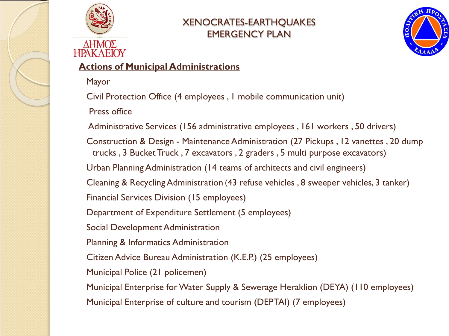



#### ΔΗΜΟΣ **HPAK AEIOY**

#### **Actions of Municipal Administrations**

Mayor

Civil Protection Office (4 employees , 1 mobile communication unit)

Press office

Administrative Services (156 administrative employees , 161 workers , 50 drivers)

Construction & Design - Maintenance Administration (27 Pickups , 12 vanettes , 20 dump trucks , 3 Bucket Truck , 7 excavators , 2 graders , 5 multi purpose excavators)

Urban Planning Administration (14 teams of architects and civil engineers)

Cleaning & Recycling Administration (43 refuse vehicles , 8 sweeper vehicles, 3 tanker)

Financial Services Division (15 employees)

Department of Expenditure Settlement (5 employees)

Social Development Administration

Planning & Informatics Administration

Citizen Advice Bureau Administration (K.E.P.) (25 employees)

Municipal Police (21 policemen)

Municipal Enterprise for Water Supply & Sewerage Heraklion (DEYA) (110 employees)

Municipal Enterprise of culture and tourism (DEPTAI) (7 employees)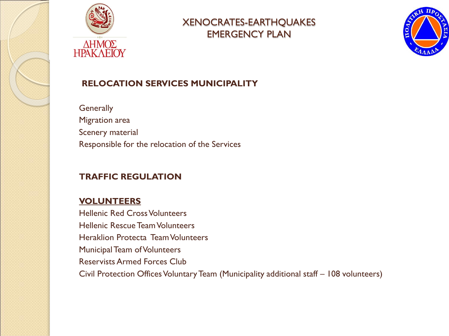



**Generally** Migration area Scenery material Responsible for the relocation of the Services

#### **TRAFFIC REGULATION**

#### **VOLUNTEERS**

Hellenic Red Cross Volunteers Hellenic Rescue Team Volunteers Heraklion Protecta Team Volunteers Municipal Team of Volunteers Reservists Armed Forces Club Civil Protection Offices Voluntary Team (Municipality additional staff – 108 volunteers)

XENOCRATES-EARTHQUAKES EMERGENCY PLAN

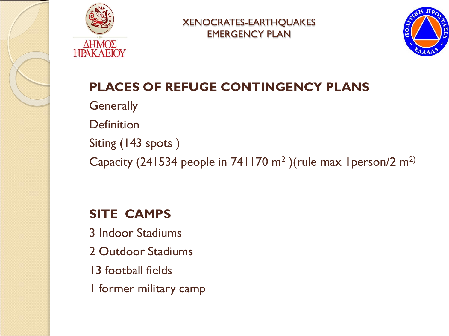



# **PLACES OF REFUGE CONTINGENCY PLANS**

**Generally** 

Definition

Siting (143 spots )

Capacity (241534 people in 741170  $m^2$ ) (rule max 1 person/2  $m^2$ )

# **SITE CAMPS**

3 Indoor Stadiums 2 Outdoor Stadiums 13 football fields 1 former military camp